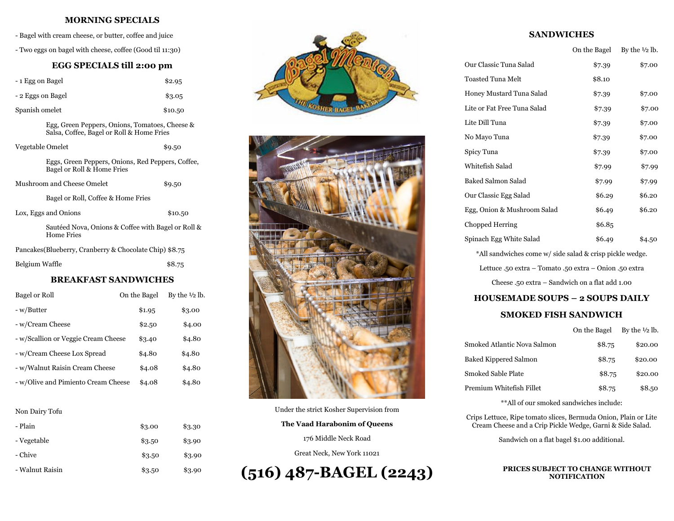# **MORNING SPECIALS**

- Bagel with cream cheese, or butter, coffee and juice

- Two eggs on bagel with cheese, coffee (Good til 11:30)

# **EGG SPECIALS till 2:00 pm**

| - 1 Egg on Bagel                                                                            | \$2.95  |
|---------------------------------------------------------------------------------------------|---------|
| - 2 Eggs on Bagel                                                                           | \$3.05  |
| Spanish omelet                                                                              | \$10.50 |
| Egg, Green Peppers, Onions, Tomatoes, Cheese &<br>Salsa, Coffee, Bagel or Roll & Home Fries |         |
| Vegetable Omelet                                                                            | \$9.50  |

Eggs, Green Peppers, Onions, Red Peppers, Coffee, Bagel or Roll & Home Fries

| Mushroom and Cheese Omelet                                              | \$9.50  |
|-------------------------------------------------------------------------|---------|
| Bagel or Roll, Coffee & Home Fries                                      |         |
| Lox, Eggs and Onions                                                    | \$10.50 |
| Sautéed Nova, Onions & Coffee with Bagel or Roll &<br><b>Home Fries</b> |         |

Pancakes(Blueberry, Cranberry & Chocolate Chip) \$8.75

#### Belgium Waffle  $$8.75$

## **BREAKFAST SANDWICHES**

| Bagel or Roll                       | On the Bagel | By the $\frac{1}{2}$ lb. |
|-------------------------------------|--------------|--------------------------|
| - w/Butter                          | \$1.95       | \$3.00                   |
| - w/Cream Cheese                    | \$2.50       | \$4.00                   |
| - w/Scallion or Veggie Cream Cheese | \$3.40       | \$4.80                   |
| - w/Cream Cheese Lox Spread         | \$4.80       | \$4.80                   |
| - w/Walnut Raisin Cream Cheese      | \$4.08       | \$4.80                   |
| - w/Olive and Pimiento Cream Cheese | \$4.08       | \$4.80                   |

#### Non Dairy Tofu

| - Plain         | \$3.00 | \$3.30 |
|-----------------|--------|--------|
| - Vegetable     | \$3.50 | \$3.90 |
| - Chive         | \$3.50 | \$3.90 |
| - Walnut Raisin | \$3.50 | \$3.90 |





Under the strict Kosher Supervision from **The Vaad Harabonim of Queens** 176 Middle Neck Road Great Neck, New York 11021

**(516) 487-BAGEL (2243)**

# **SANDWICHES**

|                             | On the Bagel | By the $\frac{1}{2}$ lb. |
|-----------------------------|--------------|--------------------------|
| Our Classic Tuna Salad      | \$7.39       | \$7.00                   |
| Toasted Tuna Melt           | \$8.10       |                          |
| Honey Mustard Tuna Salad    | \$7.39       | \$7.00                   |
| Lite or Fat Free Tuna Salad | \$7.39       | \$7.00                   |
| Lite Dill Tuna              | \$7.39       | \$7.00                   |
| No Mayo Tuna                | \$7.39       | \$7.00                   |
| Spicy Tuna                  | \$7.39       | \$7.00                   |
| Whitefish Salad             | \$7.99       | \$7.99                   |
| Baked Salmon Salad          | \$7.99       | \$7.99                   |
| Our Classic Egg Salad       | \$6.29       | \$6.20                   |
| Egg, Onion & Mushroom Salad | \$6.49       | \$6.20                   |
| Chopped Herring             | \$6.85       |                          |
| Spinach Egg White Salad     | \$6.49       | \$4.50                   |

\*All sandwiches come w/ side salad & crisp pickle wedge.

Lettuce .50 extra – Tomato .50 extra – Onion .50 extra

Cheese .50 extra – Sandwich on a flat add 1.00

# **HOUSEMADE SOUPS – 2 SOUPS DAILY**

## **SMOKED FISH SANDWICH**

|                              | On the Bagel | By the $\frac{1}{2}$ lb. |
|------------------------------|--------------|--------------------------|
| Smoked Atlantic Nova Salmon  | \$8.75       | \$20.00                  |
| <b>Baked Kippered Salmon</b> | \$8.75       | \$20.00                  |
| Smoked Sable Plate           | \$8.75       | \$20.00                  |
| Premium Whitefish Fillet     | \$8.75       | \$8.50                   |

\*\*All of our smoked sandwiches include:

Crips Lettuce, Ripe tomato slices, Bermuda Onion, Plain or Lite Cream Cheese and a Crip Pickle Wedge, Garni & Side Salad.

Sandwich on a flat bagel \$1.00 additional.

### **PRICES SUBJECT TO CHANGE WITHOUT NOTIFICATION**